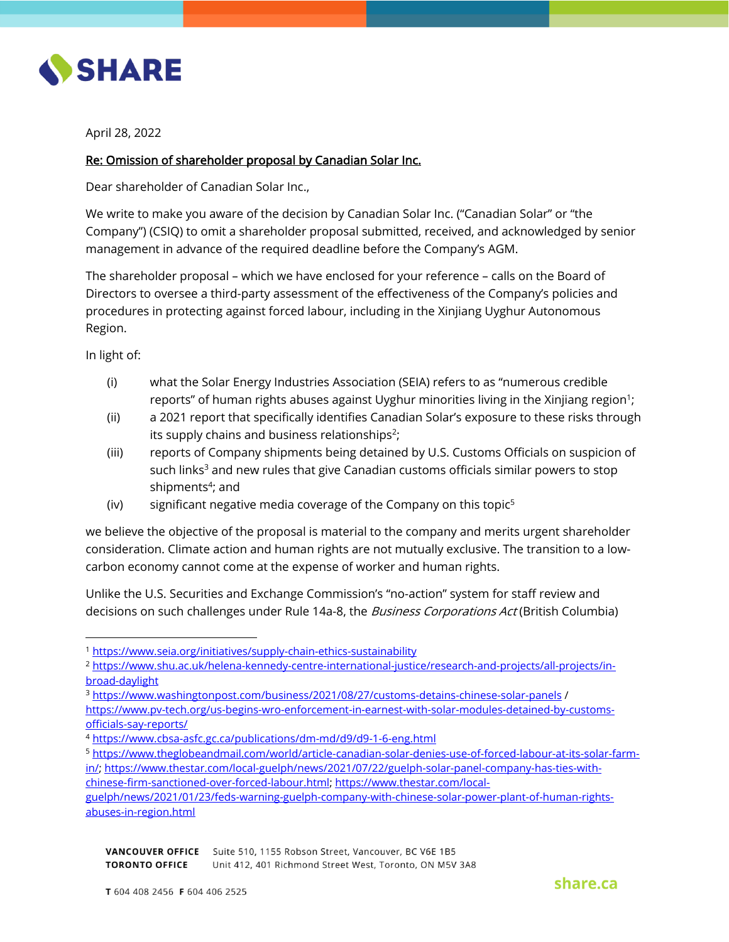

April 28, 2022

## Re: Omission of shareholder proposal by Canadian Solar Inc.

Dear shareholder of Canadian Solar Inc.,

We write to make you aware of the decision by Canadian Solar Inc. ("Canadian Solar" or "the Company") (CSIQ) to omit a shareholder proposal submitted, received, and acknowledged by senior management in advance of the required deadline before the Company's AGM.

The shareholder proposal – which we have enclosed for your reference – calls on the Board of Directors to oversee a third-party assessment of the effectiveness of the Company's policies and procedures in protecting against forced labour, including in the Xinjiang Uyghur Autonomous Region.

In light of:

 $\overline{\phantom{a}}$ 

- (i) what the Solar Energy Industries Association (SEIA) refers to as "numerous credible reports" of human rights abuses against Uyghur minorities living in the Xinjiang region $^1$ ;
- (ii) a 2021 report that specifically identifies Canadian Solar's exposure to these risks through its supply chains and business relationships<sup>2</sup>;
- (iii) reports of Company shipments being detained by U.S. Customs Officials on suspicion of such links<sup>3</sup> and new rules that give Canadian customs officials similar powers to stop shipments<sup>4</sup>; and
- (iv) significant negative media coverage of the Company on this topic<sup>5</sup>

we believe the objective of the proposal is material to the company and merits urgent shareholder consideration. Climate action and human rights are not mutually exclusive. The transition to a lowcarbon economy cannot come at the expense of worker and human rights.

Unlike the U.S. Securities and Exchange Commission's "no-action" system for staff review and decisions on such challenges under Rule 14a-8, the *Business Corporations Act* (British Columbia)

<sup>5</sup> [https://www.theglobeandmail.com/world/article-canadian-solar-denies-use-of-forced-labour-at-its-solar-farm](https://www.theglobeandmail.com/world/article-canadian-solar-denies-use-of-forced-labour-at-its-solar-farm-in/)[in/;](https://www.theglobeandmail.com/world/article-canadian-solar-denies-use-of-forced-labour-at-its-solar-farm-in/) [https://www.thestar.com/local-guelph/news/2021/07/22/guelph-solar-panel-company-has-ties-with-](https://www.thestar.com/local-guelph/news/2021/07/22/guelph-solar-panel-company-has-ties-with-chinese-firm-sanctioned-over-forced-labour.html)

<sup>1</sup> <https://www.seia.org/initiatives/supply-chain-ethics-sustainability>

<sup>2</sup> [https://www.shu.ac.uk/helena-kennedy-centre-international-justice/research-and-projects/all-projects/in](https://www.shu.ac.uk/helena-kennedy-centre-international-justice/research-and-projects/all-projects/in-broad-daylight)[broad-daylight](https://www.shu.ac.uk/helena-kennedy-centre-international-justice/research-and-projects/all-projects/in-broad-daylight)

<sup>3</sup> <https://www.washingtonpost.com/business/2021/08/27/customs-detains-chinese-solar-panels> / [https://www.pv-tech.org/us-begins-wro-enforcement-in-earnest-with-solar-modules-detained-by-customs](https://www.pv-tech.org/us-begins-wro-enforcement-in-earnest-with-solar-modules-detained-by-customs-officials-say-reports/)[officials-say-reports/](https://www.pv-tech.org/us-begins-wro-enforcement-in-earnest-with-solar-modules-detained-by-customs-officials-say-reports/)

<sup>4</sup> <https://www.cbsa-asfc.gc.ca/publications/dm-md/d9/d9-1-6-eng.html>

[chinese-firm-sanctioned-over-forced-labour.html;](https://www.thestar.com/local-guelph/news/2021/07/22/guelph-solar-panel-company-has-ties-with-chinese-firm-sanctioned-over-forced-labour.html) [https://www.thestar.com/local](https://www.thestar.com/local-guelph/news/2021/01/23/feds-warning-guelph-company-with-chinese-solar-power-plant-of-human-rights-abuses-in-region.html)[guelph/news/2021/01/23/feds-warning-guelph-company-with-chinese-solar-power-plant-of-human-rights](https://www.thestar.com/local-guelph/news/2021/01/23/feds-warning-guelph-company-with-chinese-solar-power-plant-of-human-rights-abuses-in-region.html)[abuses-in-region.html](https://www.thestar.com/local-guelph/news/2021/01/23/feds-warning-guelph-company-with-chinese-solar-power-plant-of-human-rights-abuses-in-region.html)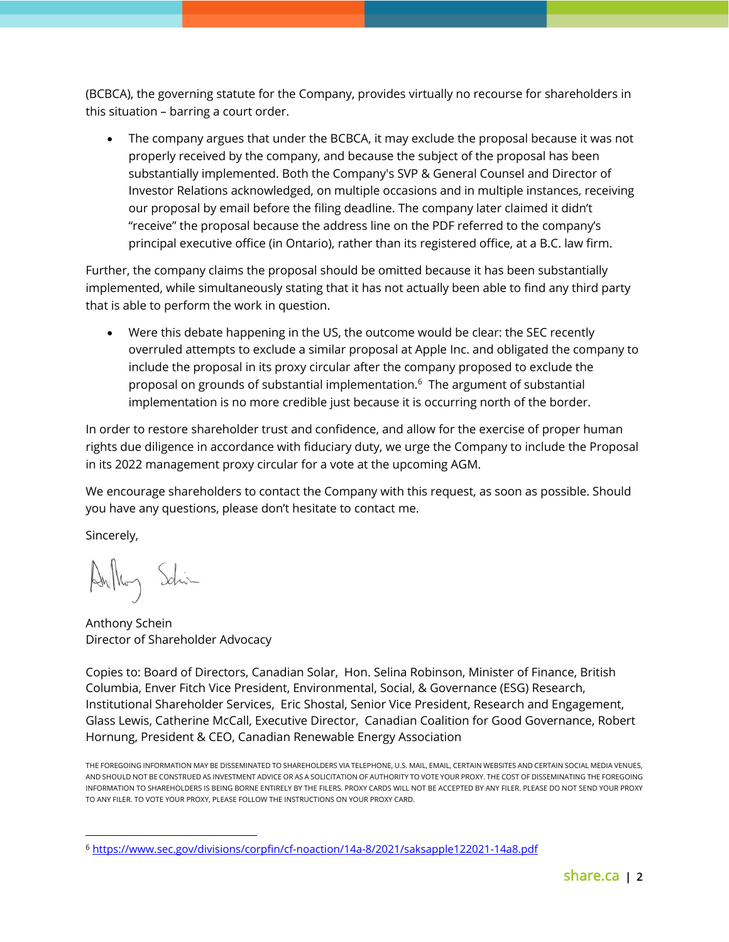(BCBCA), the governing statute for the Company, provides virtually no recourse for shareholders in this situation – barring a court order.

• The company argues that under the BCBCA, it may exclude the proposal because it was not properly received by the company, and because the subject of the proposal has been substantially implemented. Both the Company's SVP & General Counsel and Director of Investor Relations acknowledged, on multiple occasions and in multiple instances, receiving our proposal by email before the filing deadline. The company later claimed it didn't "receive" the proposal because the address line on the PDF referred to the company's principal executive office (in Ontario), rather than its registered office, at a B.C. law firm.

Further, the company claims the proposal should be omitted because it has been substantially implemented, while simultaneously stating that it has not actually been able to find any third party that is able to perform the work in question.

• Were this debate happening in the US, the outcome would be clear: the SEC recently overruled attempts to exclude a similar proposal at Apple Inc. and obligated the company to include the proposal in its proxy circular after the company proposed to exclude the proposal on grounds of substantial implementation.<sup>6</sup> The argument of substantial implementation is no more credible just because it is occurring north of the border.

In order to restore shareholder trust and confidence, and allow for the exercise of proper human rights due diligence in accordance with fiduciary duty, we urge the Company to include the Proposal in its 2022 management proxy circular for a vote at the upcoming AGM.

We encourage shareholders to contact the Company with this request, as soon as possible. Should you have any questions, please don't hesitate to contact me.

Sincerely,

 $\overline{a}$ 

Anthoy Schin

Anthony Schein Director of Shareholder Advocacy

Copies to: Board of Directors, Canadian Solar, Hon. Selina Robinson, Minister of Finance, British Columbia, [Enver Fitch](https://share.lightning.force.com/lightning/r/0037V00002d6JkcQAE/view) Vice President, Environmental, Social, & Governance (ESG) Research, Institutional Shareholder Services, Eric Shostal, Senior Vice President, Research and Engagement, Glass Lewis, Catherine McCall, Executive Director, Canadian Coalition for Good Governance, Robert Hornung, President & CEO, Canadian Renewable Energy Association

THE FOREGOING INFORMATION MAY BE DISSEMINATED TO SHAREHOLDERS VIA TELEPHONE, U.S. MAIL, EMAIL, CERTAIN WEBSITES AND CERTAIN SOCIAL MEDIA VENUES, AND SHOULD NOT BE CONSTRUED AS INVESTMENT ADVICE OR AS A SOLICITATION OF AUTHORITY TO VOTE YOUR PROXY. THE COST OF DISSEMINATING THE FOREGOING INFORMATION TO SHAREHOLDERS IS BEING BORNE ENTIRELY BY THE FILERS. PROXY CARDS WILL NOT BE ACCEPTED BY ANY FILER. PLEASE DO NOT SEND YOUR PROXY TO ANY FILER. TO VOTE YOUR PROXY, PLEASE FOLLOW THE INSTRUCTIONS ON YOUR PROXY CARD.

<sup>6</sup> <https://www.sec.gov/divisions/corpfin/cf-noaction/14a-8/2021/saksapple122021-14a8.pdf>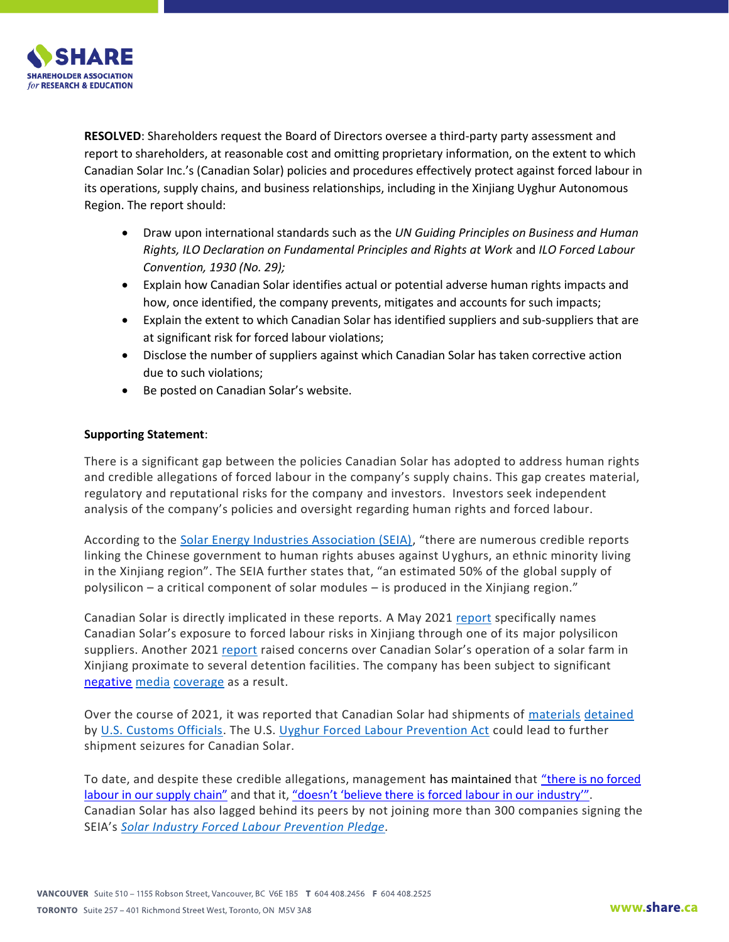

**RESOLVED**: Shareholders request the Board of Directors oversee a third-party party assessment and report to shareholders, at reasonable cost and omitting proprietary information, on the extent to which Canadian Solar Inc.'s (Canadian Solar) policies and procedures effectively protect against forced labour in its operations, supply chains, and business relationships, including in the Xinjiang Uyghur Autonomous Region. The report should:

- Draw upon international standards such as the *UN Guiding Principles on Business and Human Rights, ILO Declaration on Fundamental Principles and Rights at Work* and *ILO Forced Labour Convention, 1930 (No. 29);*
- Explain how Canadian Solar identifies actual or potential adverse human rights impacts and how, once identified, the company prevents, mitigates and accounts for such impacts;
- Explain the extent to which Canadian Solar has identified suppliers and sub-suppliers that are at significant risk for forced labour violations;
- Disclose the number of suppliers against which Canadian Solar has taken corrective action due to such violations;
- Be posted on Canadian Solar's website.

## **Supporting Statement**:

There is a significant gap between the policies Canadian Solar has adopted to address human rights and credible allegations of forced labour in the company's supply chains. This gap creates material, regulatory and reputational risks for the company and investors. Investors seek independent analysis of the company's policies and oversight regarding human rights and forced labour.

According to the [Solar Energy Industries Association \(SEIA\)](https://www.seia.org/initiatives/supply-chain-ethics-sustainability), "there are numerous credible reports linking the Chinese government to human rights abuses against Uyghurs, an ethnic minority living in the Xinjiang region". The SEIA further states that, "an estimated 50% of the global supply of polysilicon – a critical component of solar modules – is produced in the Xinjiang region."

Canadian Solar is directly implicated in these reports. A May 2021 [report](https://www.shu.ac.uk/helena-kennedy-centre-international-justice/research-and-projects/all-projects/in-broad-daylight) specifically names Canadian Solar's exposure to forced labour risks in Xinjiang through one of its major polysilicon suppliers. Another 2021 [report](http://nomogaia.org/wp-content/uploads/2021/03/IFC-Xinjiang-Investments-the-tragic-cost-of-bypassing-PS7.pdf) raised concerns over Canadian Solar's operation of a solar farm in Xinjiang proximate to several detention facilities. The company has been subject to significant [negative](https://www.theglobeandmail.com/world/article-canadian-firms-operate-in-chinas-xinjiang-region/) [media](https://www.thestar.com/local-guelph/news/2021/01/23/feds-warning-guelph-company-with-chinese-solar-power-plant-of-human-rights-abuses-in-region.html) [coverage](https://www.washingtonpost.com/business/2021/08/27/customs-detains-chinese-solar-panels/) as a result.

Over the course of 2021, it was reported that Canadian Solar had shipments of [materials](https://www.solarpowerworldonline.com/2021/11/an-update-on-wro-enforcement-on-imported-solar-panels/) [detained](https://www.pv-tech.org/us-begins-wro-enforcement-in-earnest-with-solar-modules-detained-by-customs-officials-say-reports/) by [U.S. Customs Officials.](https://www.cbp.gov/newsroom/national-media-release/department-homeland-security-issues-withhold-release-order-silica) The U.S. [Uyghur Forced Labour Prevention Act](https://www.congress.gov/117/bills/hr6256/BILLS-117hr6256eh.pdf) could lead to further shipment seizures for Canadian Solar.

To date, and despite these credible allegations, management has maintained that "there is no forced [labour in our supply chain"](https://www.thestar.com/local-guelph/news/2021/07/22/guelph-solar-panel-company-has-ties-with-chinese-firm-sanctioned-over-forced-labour.html) and that it, ["doesn't 'believe there is forced labour in our](https://www.theglobeandmail.com/world/article-canadian-solar-denies-use-of-forced-labour-at-its-solar-farm-in/) industry'". Canadian Solar has also lagged behind its peers by not joining more than 300 companies signing the SEIA's *[Solar Industry Forced Labour Prevention Pledge.](https://www.seia.org/sites/default/files/Solar%20Industry%20Forced%20Labor%20Prevention%20Pledge%20Signatories.pdf)*